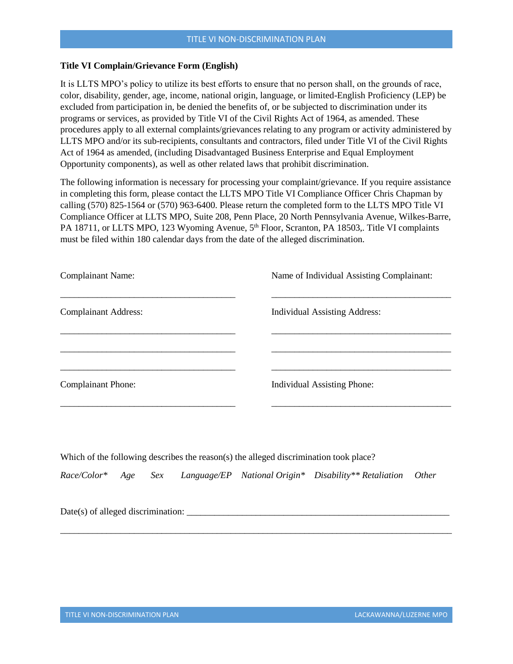## **Title VI Complain/Grievance Form (English)**

It is LLTS MPO's policy to utilize its best efforts to ensure that no person shall, on the grounds of race, color, disability, gender, age, income, national origin, language, or limited-English Proficiency (LEP) be excluded from participation in, be denied the benefits of, or be subjected to discrimination under its programs or services, as provided by Title VI of the Civil Rights Act of 1964, as amended. These procedures apply to all external complaints/grievances relating to any program or activity administered by LLTS MPO and/or its sub-recipients, consultants and contractors, filed under Title VI of the Civil Rights Act of 1964 as amended, (including Disadvantaged Business Enterprise and Equal Employment Opportunity components), as well as other related laws that prohibit discrimination.

The following information is necessary for processing your complaint/grievance. If you require assistance in completing this form, please contact the LLTS MPO Title VI Compliance Officer Chris Chapman by calling (570) 825-1564 or (570) 963-6400. Please return the completed form to the LLTS MPO Title VI Compliance Officer at LLTS MPO, Suite 208, Penn Place, 20 North Pennsylvania Avenue, Wilkes-Barre, PA 18711, or LLTS MPO, 123 Wyoming Avenue, 5<sup>th</sup> Floor, Scranton, PA 18503, Title VI complaints must be filed within 180 calendar days from the date of the alleged discrimination.

| <b>Complainant Name:</b>    | Name of Individual Assisting Complainant: |
|-----------------------------|-------------------------------------------|
| <b>Complainant Address:</b> | <b>Individual Assisting Address:</b>      |
|                             |                                           |
| <b>Complainant Phone:</b>   | <b>Individual Assisting Phone:</b>        |
|                             |                                           |

Which of the following describes the reason(s) the alleged discrimination took place?

*Race/Color\* Age Sex Language/EP National Origin\* Disability\*\* Retaliation Other*

\_\_\_\_\_\_\_\_\_\_\_\_\_\_\_\_\_\_\_\_\_\_\_\_\_\_\_\_\_\_\_\_\_\_\_\_\_\_\_\_\_\_\_\_\_\_\_\_\_\_\_\_\_\_\_\_\_\_\_\_\_\_\_\_\_\_\_\_\_\_\_\_\_\_\_\_\_\_\_\_\_\_\_\_\_

| Date(s) of alleged discrimination: |  |
|------------------------------------|--|
|                                    |  |